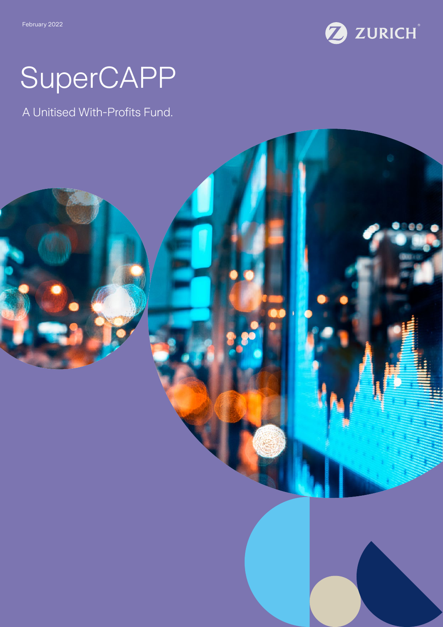

# SuperCAPP

A Unitised With-Profits Fund.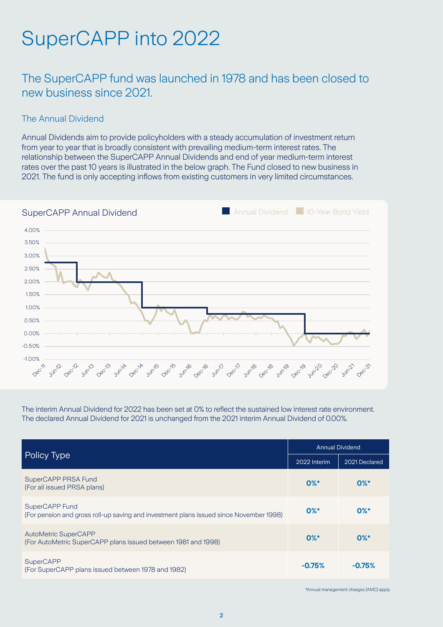## SuperCAPP into 2022

The SuperCAPP fund was launched in 1978 and has been closed to new business since 2021.

#### The Annual Dividend

Annual Dividends aim to provide policyholders with a steady accumulation of investment return from year to year that is broadly consistent with prevailing medium-term interest rates. The relationship between the SuperCAPP Annual Dividends and end of year medium-term interest rates over the past 10 years is illustrated in the below graph. The Fund closed to new business in 2021. The fund is only accepting inflows from existing customers in very limited circumstances.



The interim Annual Dividend for 2022 has been set at 0% to reflect the sustained low interest rate environment. The declared Annual Dividend for 2021 is unchanged from the 2021 interim Annual Dividend of 0.00%.

| Policy Type                                                                                              | <b>Annual Dividend</b> |               |
|----------------------------------------------------------------------------------------------------------|------------------------|---------------|
|                                                                                                          | 2022 Interim           | 2021 Declared |
| SuperCAPP PRSA Fund<br>(For all issued PRSA plans)                                                       | $0\%$ *                | $0\%$ *       |
| SuperCAPP Fund<br>(For pension and gross roll-up saving and investment plans issued since November 1998) | $0\%$ *                | $0\%$ *       |
| <b>AutoMetric SuperCAPP</b><br>(For AutoMetric SuperCAPP plans issued between 1981 and 1998)             | $0\%$ *                | $0\%$ *       |
| <b>SuperCAPP</b><br>(For SuperCAPP plans issued between 1978 and 1982)                                   | $-0.75%$               | $-0.75%$      |

\*Annual management charges (AMC) apply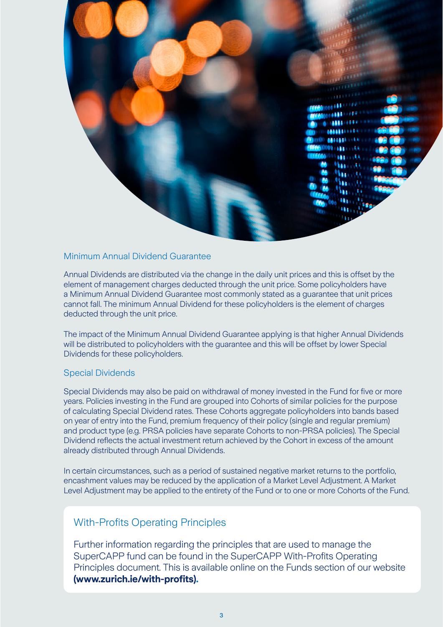

#### Minimum Annual Dividend Guarantee

Annual Dividends are distributed via the change in the daily unit prices and this is offset by the element of management charges deducted through the unit price. Some policyholders have a Minimum Annual Dividend Guarantee most commonly stated as a guarantee that unit prices cannot fall. The minimum Annual Dividend for these policyholders is the element of charges deducted through the unit price.

The impact of the Minimum Annual Dividend Guarantee applying is that higher Annual Dividends will be distributed to policyholders with the guarantee and this will be offset by lower Special Dividends for these policyholders.

#### Special Dividends

Special Dividends may also be paid on withdrawal of money invested in the Fund for five or more years. Policies investing in the Fund are grouped into Cohorts of similar policies for the purpose of calculating Special Dividend rates. These Cohorts aggregate policyholders into bands based on year of entry into the Fund, premium frequency of their policy (single and regular premium) and product type (e.g. PRSA policies have separate Cohorts to non-PRSA policies). The Special Dividend reflects the actual investment return achieved by the Cohort in excess of the amount already distributed through Annual Dividends.

In certain circumstances, such as a period of sustained negative market returns to the portfolio, encashment values may be reduced by the application of a Market Level Adjustment. A Market Level Adjustment may be applied to the entirety of the Fund or to one or more Cohorts of the Fund.

### With-Profits Operating Principles

Further information regarding the principles that are used to manage the SuperCAPP fund can be found in the SuperCAPP With-Profits Operating Principles document. This is available online on the Funds section of our website **(www.zurich.ie/with-profits).**